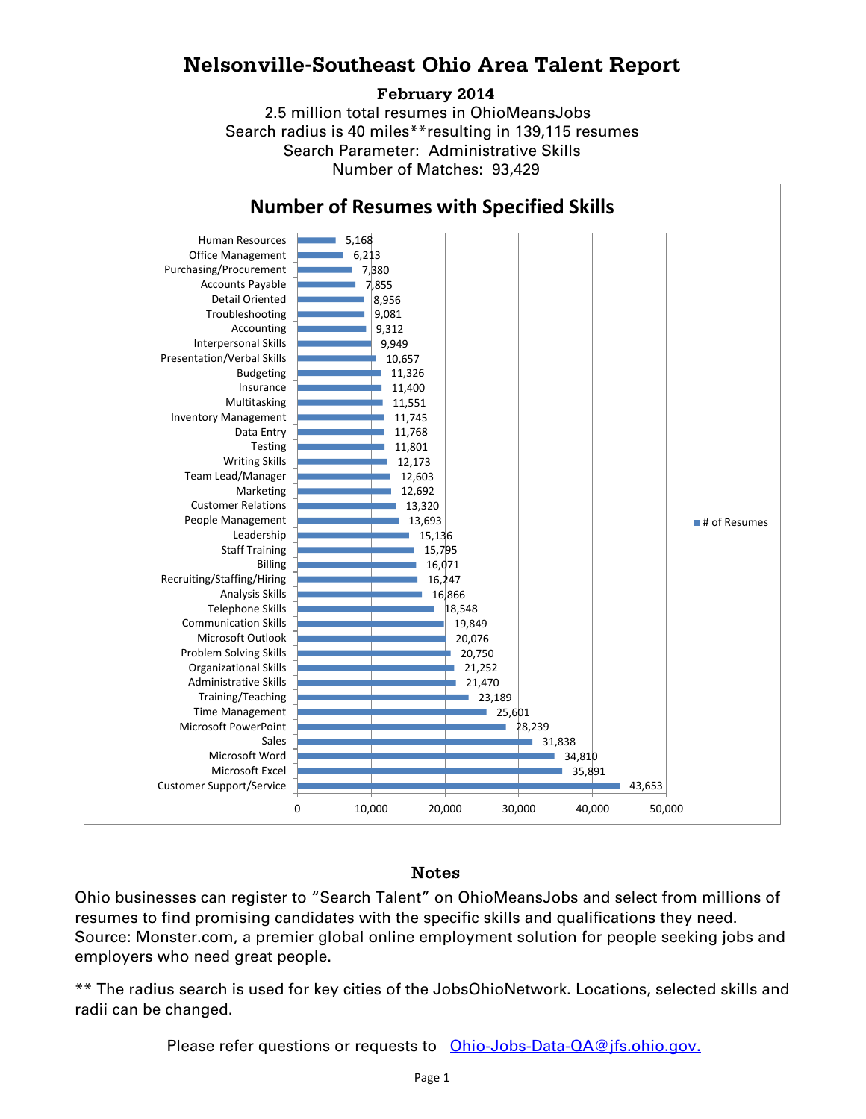## **Nelsonville-Southeast Ohio Area Talent Report**

#### **February 2014**

2.5 million total resumes in OhioMeansJobs Search radius is 40 miles\*\*resulting in 139,115 resumes Number of Matches: 93,429 Search Parameter: Administrative Skills



### Notes

Ohio businesses can register to "Search Talent" on OhioMeansJobs and select from millions of resumes to find promising candidates with the specific skills and qualifications they need. Source: Monster.com, a premier global online employment solution for people seeking jobs and employers who need great people.

\*\* The radius search is used for key cities of the JobsOhioNetwork. Locations, selected skills and radii can be changed.

Please refer questions or requests to [Ohio-Jobs-Data-QA@jfs.ohio.gov.](mailto:Ohio-Jobs-Data-QA@jfs.ohio.gov.)